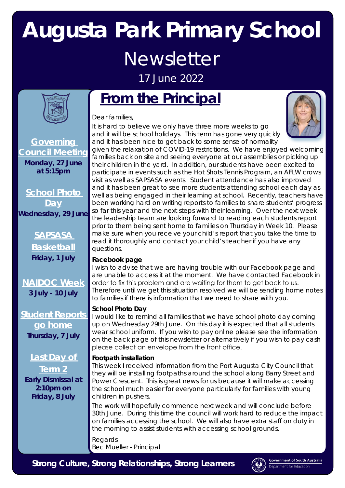# **Augusta Park Primary School Newsletter**

17 June 2022



**Governing Council Meeting Monday, 27 June at 5:15pm**

**School Photo Day Wednesday, 29 June**

**SAPSASA** 

**Basketball Friday, 1 July** 

**NAIDOC Week 3 July - 10 July**

**Student Reports go home Thursday, 7 July**

**Last Day of** 

**Term 2 Early Dismissal at 2:10pm on Friday, 8 July**

## **From the Principal**

Dear families,

It is hard to believe we only have three more weeks to go and it will be school holidays. This term has gone very quickly and it has been nice to get back to some sense of normality



given the relaxation of COVID-19 restrictions. We have enjoyed welcoming families back on site and seeing everyone at our assemblies or picking up their children in the yard. In addition, our students have been excited to participate in events such as the Hot Shots Tennis Program, an AFLW crows visit as well as SAPSASA events. Student attendance has also improved and it has been great to see more students attending school each day as well as being engaged in their learning at school. Recently, teachers have been working hard on writing reports to families to share students' progress so far this year and the next steps with their learning. Over the next week the leadership team are looking forward to reading each students report prior to them being sent home to families on Thursday in Week 10. Please make sure when you receive your child's report that you take the time to read it thoroughly and contact your child's teacher if you have any questions.

#### **Facebook page**

I wish to advise that we are having trouble with our Facebook page and are unable to access it at the moment. We have contacted Facebook in order to fix this problem and are waiting for them to get back to us. Therefore until we get this situation resolved we will be sending home notes to families if there is information that we need to share with you.

#### **School Photo Day**

I would like to remind all families that we have school photo day coming up on Wednesday 29th June. On this day it is expected that all students wear school uniform. If you wish to pay online please see the information on the back page of this newsletter or alternatively if you wish to pay cash please collect an envelope from the front office.

#### **Footpath installation**

This week I received information from the Port Augusta City Council that they will be installing footpaths around the school along Barry Street and Power Crescent. This is great news for us because it will make accessing the school much easier for everyone particularly for families with young children in pushers.

The work will hopefully commence next week and will conclude before 30th June. During this time the council will work hard to reduce the impact on families accessing the school. We will also have extra staff on duty in the morning to assist students with accessing school grounds.

Regards Bec Mueller - Principal

*Strong Culture, Strong Relationships, Strong Learners*

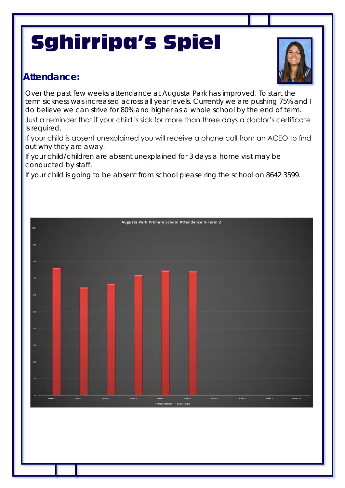# Sghirripa's Spiel

### **Attendance:**



Over the past few weeks attendance at Augusta Park has improved. To start the term sickness was increased across all year levels. Currently we are pushing 75% and I do believe we can strive for 80% and higher as a whole school by the end of term. Just a reminder that if your child is sick for more than three days a doctor's certificate

is required.

If your child is absent unexplained you will receive a phone call from an ACEO to find out why they are away.

If your child/children are absent unexplained for 3 days a home visit may be conducted by staff.

If your child is going to be absent from school please ring the school on 8642 3599.

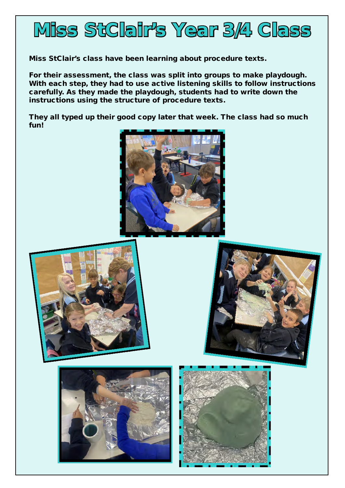

Miss StClair's class have been learning about procedure texts.

For their assessment, the class was split into groups to make playdough. With each step, they had to use active listening skills to follow instructions carefully. As they made the playdough, students had to write down the instructions using the structure of procedure texts.

They all typed up their good copy later that week. The class had so much fun!









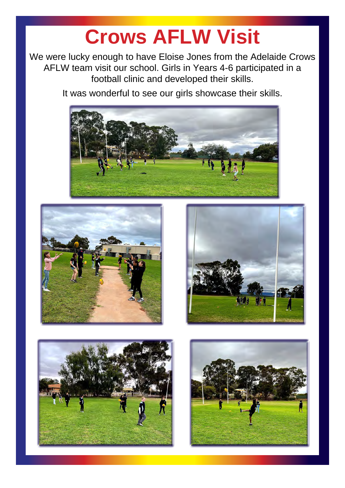# **Crows AFLW Visit**

We were lucky enough to have Eloise Jones from the Adelaide Crows AFLW team visit our school. Girls in Years 4-6 participated in a football clinic and developed their skills.

It was wonderful to see our girls showcase their skills.









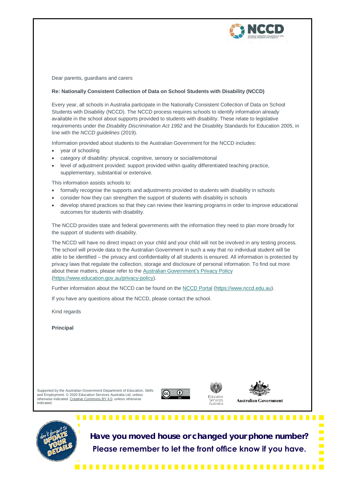

Dear parents, guardians and carers

#### **Re: Nationally Consistent Collection of Data on School Students with Disability (NCCD)**

Every year, all schools in Australia participate in the Nationally Consistent Collection of Data on School Students with Disability (NCCD). The NCCD process requires schools to identify information already available in the school about supports provided to students with disability. These relate to legislative requirements under the *Disability Discrimination Act 1992* and the Disability Standards for Education 2005, in line with the *NCCD guidelines* (2019).

Information provided about students to the Australian Government for the NCCD includes:

- year of schooling
- category of disability: physical, cognitive, sensory or social/emotional
- level of adjustment provided: support provided within quality differentiated teaching practice, supplementary, substantial or extensive.

This information assists schools to:

- formally recognise the supports and adjustments provided to students with disability in schools
- consider how they can strengthen the support of students with disability in schools
- develop shared practices so that they can review their learning programs in order to improve educational outcomes for students with disability.

The NCCD provides state and federal governments with the information they need to plan more broadly for the support of students with disability.

The NCCD will have no direct impact on your child and your child will not be involved in any testing process. The school will provide data to the Australian Government in such a way that no individual student will be able to be identified – the privacy and confidentiality of all students is ensured. All information is protected by privacy laws that regulate the collection, storage and disclosure of personal information. To find out more about these matters, please refer to the Australian Government's Privacy Policy (https://www.education.gov.au/privacy-policy).

Further information about the NCCD can be found on the NCCD Portal (https://www.nccd.edu.au).

If you have any questions about the NCCD, please contact the school.

.............

Kind regards

**Principal**

Supported by the Australian Government Department of Education, Skills and Employment. © 2020 Education Services Australia Ltd, unless otherwise indicated. Creative Commons BY 4.0, unless otherwise indicated.









**Have you moved house or changed your phone number? Please remember to let the front office know if you have.**